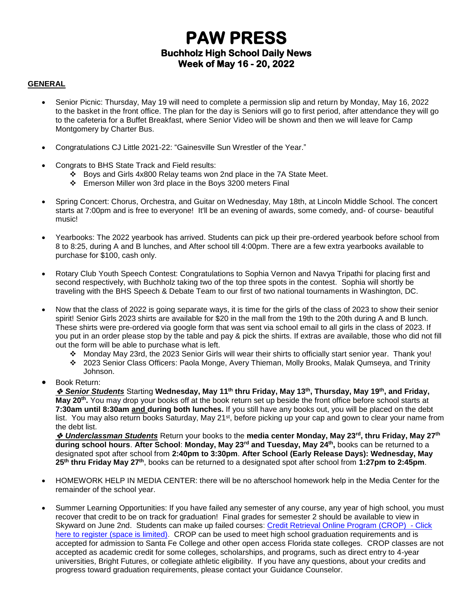# **PAW PRESS Buchholz High School Daily News Week of May 16 - 20, 2022**

#### **GENERAL**

- Senior Picnic: Thursday, May 19 will need to complete a permission slip and return by Monday, May 16, 2022 to the basket in the front office. The plan for the day is Seniors will go to first period, after attendance they will go to the cafeteria for a Buffet Breakfast, where Senior Video will be shown and then we will leave for Camp Montgomery by Charter Bus.
- Congratulations CJ Little 2021-22: "Gainesville Sun Wrestler of the Year."
- Congrats to BHS State Track and Field results:
	- ❖ Boys and Girls 4x800 Relay teams won 2nd place in the 7A State Meet.
	- ❖ Emerson Miller won 3rd place in the Boys 3200 meters Final
- Spring Concert: Chorus, Orchestra, and Guitar on Wednesday, May 18th, at Lincoln Middle School. The concert starts at 7:00pm and is free to everyone! It'll be an evening of awards, some comedy, and- of course- beautiful music!
- Yearbooks: The 2022 yearbook has arrived. Students can pick up their pre-ordered yearbook before school from 8 to 8:25, during A and B lunches, and After school till 4:00pm. There are a few extra yearbooks available to purchase for \$100, cash only.
- Rotary Club Youth Speech Contest: Congratulations to Sophia Vernon and Navya Tripathi for placing first and second respectively, with Buchholz taking two of the top three spots in the contest. Sophia will shortly be traveling with the BHS Speech & Debate Team to our first of two national tournaments in Washington, DC.
- Now that the class of 2022 is going separate ways, it is time for the girls of the class of 2023 to show their senior spirit! Senior Girls 2023 shirts are available for \$20 in the mall from the 19th to the 20th during A and B lunch. These shirts were pre-ordered via google form that was sent via school email to all girls in the class of 2023. If you put in an order please stop by the table and pay & pick the shirts. If extras are available, those who did not fill out the form will be able to purchase what is left.
	- ❖ Monday May 23rd, the 2023 Senior Girls will wear their shirts to officially start senior year. Thank you!
	- ❖ 2023 Senior Class Officers: Paola Monge, Avery Thieman, Molly Brooks, Malak Qumseya, and Trinity Johnson.
- Book Return:

❖ *Senior Students* Starting **Wednesday, May 11th thru Friday, May 13th, Thursday, May 19th, and Friday, May 20th .** You may drop your books off at the book return set up beside the front office before school starts at **7:30am until 8:30am and during both lunches.** If you still have any books out, you will be placed on the debt list. You may also return books Saturday, May 21<sup>st</sup>, before picking up your cap and gown to clear your name from the debt list.

❖ *Underclassman Students* Return your books to the **media center Monday, May 23rd, thru Friday, May 27th during school hours**. **After School**: **Monday, May 23rd and Tuesday, May 24th ,** books can be returned to a designated spot after school from **2:40pm to 3:30pm**. **After School (Early Release Days): Wednesday, May 25th thru Friday May 27th**, books can be returned to a designated spot after school from **1:27pm to 2:45pm**.

- HOMEWORK HELP IN MEDIA CENTER: there will be no afterschool homework help in the Media Center for the remainder of the school year.
- Summer Learning Opportunities: If you have failed any semester of any course, any year of high school, you must recover that credit to be on track for graduation! Final grades for semester 2 should be available to view in Skyward on June 2nd. Students can make up failed courses: [Credit Retrieval Online Program \(CROP\)](https://forms.gle/ubLEUAZFgWMqjj7t8) - Click [here to register \(space is limited\).](https://forms.gle/ubLEUAZFgWMqjj7t8) CROP can be used to meet high school graduation requirements and is accepted for admission to Santa Fe College and other open access Florida state colleges. CROP classes are not accepted as academic credit for some colleges, scholarships, and programs, such as direct entry to 4-year universities, Bright Futures, or collegiate athletic eligibility. If you have any questions, about your credits and progress toward graduation requirements, please contact your Guidance Counselor.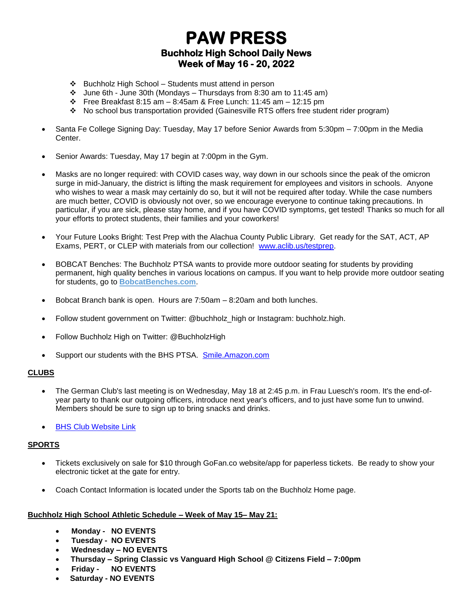# **PAW PRESS Buchholz High School Daily News Week of May 16 - 20, 2022**

- ❖ Buchholz High School Students must attend in person
- ❖ June 6th June 30th (Mondays Thursdays from 8:30 am to 11:45 am)
- ❖ Free Breakfast 8:15 am 8:45am & Free Lunch: 11:45 am 12:15 pm
- ❖ No school bus transportation provided (Gainesville RTS offers free student rider program)
- Santa Fe College Signing Day: Tuesday, May 17 before Senior Awards from 5:30pm 7:00pm in the Media Center.
- Senior Awards: Tuesday, May 17 begin at 7:00pm in the Gym.
- Masks are no longer required: with COVID cases way, way down in our schools since the peak of the omicron surge in mid-January, the district is lifting the mask requirement for employees and visitors in schools. Anyone who wishes to wear a mask may certainly do so, but it will not be required after today. While the case numbers are much better, COVID is obviously not over, so we encourage everyone to continue taking precautions. In particular, if you are sick, please stay home, and if you have COVID symptoms, get tested! Thanks so much for all your efforts to protect students, their families and your coworkers!
- Your Future Looks Bright: Test Prep with the Alachua County Public Library. Get ready for the SAT, ACT, AP Exams, PERT, or CLEP with materials from our collection! [www.aclib.us/testprep.](http://www.aclib.us/testprep)
- BOBCAT Benches: The Buchholz PTSA wants to provide more outdoor seating for students by providing permanent, high quality benches in various locations on campus. If you want to help provide more outdoor seating for students, go to **[BobcatBenches.com](http://m7scym5f.r.us-east-1.awstrack.me/L0/www.BobcatBenches.com/1/0100017ceda7ad53-510fabd6-46b5-450d-8db7-465f7dc345a6-000000/xq-u89zrwmCi4EaO1eJtbniMGCs=243)**.
- Bobcat Branch bank is open. Hours are 7:50am 8:20am and both lunches.
- Follow student government on Twitter: @buchholz\_high or Instagram: buchholz.high.
- Follow Buchholz High on Twitter: @BuchholzHigh
- Support our students with the BHS PTSA. [Smile.Amazon.com](http://smile.amazon.com/)

### **CLUBS**

- The German Club's last meeting is on Wednesday, May 18 at 2:45 p.m. in Frau Luesch's room. It's the end-ofyear party to thank our outgoing officers, introduce next year's officers, and to just have some fun to unwind. Members should be sure to sign up to bring snacks and drinks.
- **[BHS Club Website Link](https://www.sbac.edu/domain/1650)**

#### **SPORTS**

- Tickets exclusively on sale for \$10 through GoFan.co website/app for paperless tickets. Be ready to show your electronic ticket at the gate for entry.
- Coach Contact Information is located under the Sports tab on the Buchholz Home page.

#### **Buchholz High School Athletic Schedule – Week of May 15– May 21:**

- **Monday - NO EVENTS**
- **Tuesday - NO EVENTS**
- **Wednesday – NO EVENTS**
- **Thursday – Spring Classic vs Vanguard High School @ Citizens Field – 7:00pm**
- **Friday - NO EVENTS**
- **Saturday - NO EVENTS**